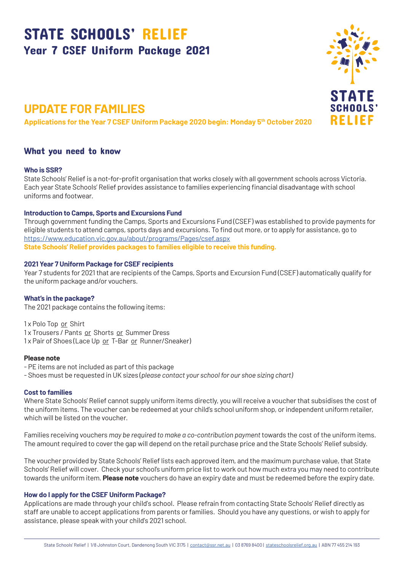# STATE SCHOOLS' RELIEF Year 7 CSEF Uniform Package 2021

## **UPDATE FOR FAMILIES**

**Applications for the Year 7 CSEF Uniform Package 2020 begin: Monday 5th October 2020**

## What you need to know

#### **Who is SSR?**

State Schools' Relief is a not-for-profit organisation that works closely with all government schools across Victoria. Each year State Schools' Relief provides assistance to families experiencing financial disadvantage with school uniforms and footwear.

#### **Introduction to Camps, Sports and Excursions Fund**

Through government funding the Camps, Sports and Excursions Fund (CSEF) was established to provide payments for eligible students to attend camps, sports days and excursions. To find out more, or to apply for assistance, go to https://www.education.vic.gov.au/about/programs/Pages/csef.aspx **State Schools' Relief provides packages to families eligible to receive this funding.**

#### **2021 Year 7 Uniform Package for CSEF recipients**

Year 7 students for 2021 that are recipients of the Camps, Sports and Excursion Fund (CSEF) automatically qualify for the uniform package and/or vouchers.

#### **What's in the package?**

The 2021 package contains the following items:

1 x Polo Top or Shirt 1 x Trousers / Pants or Shorts or Summer Dress 1x Pair of Shoes (Lace Up or T-Bar or Runner/Sneaker)

#### **Please note**

- PE items are not included as part of this package
- Shoes must be requested in UK sizes (*please contact your school for our shoe sizing chart)*

#### **Cost to families**

Where State Schools' Relief cannot supply uniform items directly, you will receive a voucher that subsidises the cost of the uniform items. The voucher can be redeemed at your child's school uniform shop, or independent uniform retailer, which will be listed on the voucher.

Families receiving vouchers *may be required to make a co-contribution payment* towards the cost of the uniform items. The amount required to cover the gap will depend on the retail purchase price and the State Schools' Relief subsidy.

The voucher provided by State Schools' Relief lists each approved item, and the maximum purchase value, that State Schools' Relief will cover. Check your school's uniform price list to work out how much extra you may need to contribute towards the uniform item. **Please note** vouchers do have an expiry date and must be redeemed before the expiry date.

#### **How do I apply for the CSEF Uniform Package?**

Applications are made through your child's school. Please refrain from contacting State Schools' Relief directly as staff are unable to accept applications from parents or families. Should you have any questions, or wish to apply for assistance, please speak with your child's 2021 school.